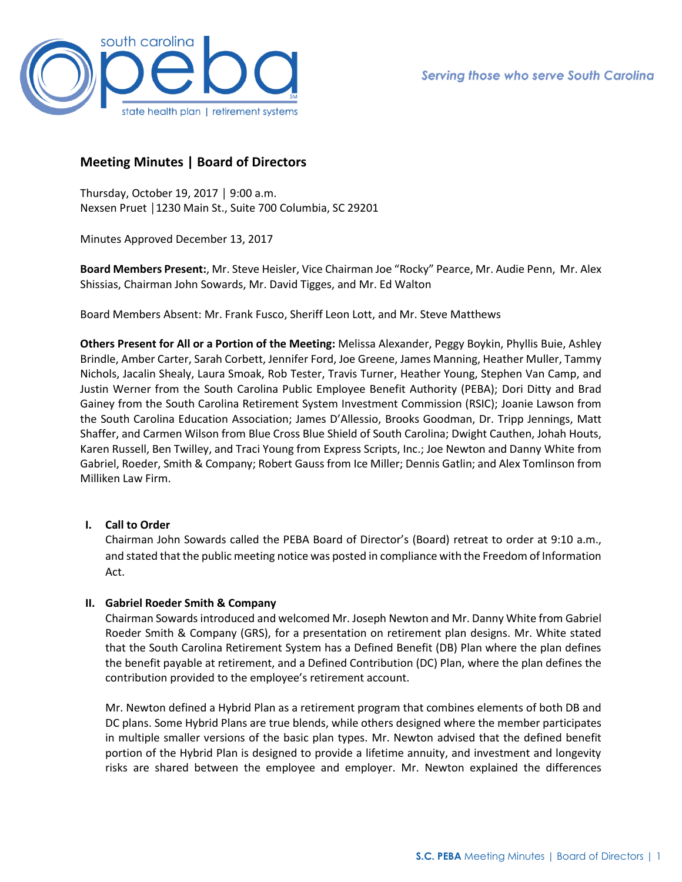

# **Meeting Minutes | Board of Directors**

Thursday, October 19, 2017 │ 9:00 a.m. Nexsen Pruet │1230 Main St., Suite 700 Columbia, SC 29201

Minutes Approved December 13, 2017

**Board Members Present:**, Mr. Steve Heisler, Vice Chairman Joe "Rocky" Pearce, Mr. Audie Penn, Mr. Alex Shissias, Chairman John Sowards, Mr. David Tigges, and Mr. Ed Walton

Board Members Absent: Mr. Frank Fusco, Sheriff Leon Lott, and Mr. Steve Matthews

**Others Present for All or a Portion of the Meeting:** Melissa Alexander, Peggy Boykin, Phyllis Buie, Ashley Brindle, Amber Carter, Sarah Corbett, Jennifer Ford, Joe Greene, James Manning, Heather Muller, Tammy Nichols, Jacalin Shealy, Laura Smoak, Rob Tester, Travis Turner, Heather Young, Stephen Van Camp, and Justin Werner from the South Carolina Public Employee Benefit Authority (PEBA); Dori Ditty and Brad Gainey from the South Carolina Retirement System Investment Commission (RSIC); Joanie Lawson from the South Carolina Education Association; James D'Allessio, Brooks Goodman, Dr. Tripp Jennings, Matt Shaffer, and Carmen Wilson from Blue Cross Blue Shield of South Carolina; Dwight Cauthen, Johah Houts, Karen Russell, Ben Twilley, and Traci Young from Express Scripts, Inc.; Joe Newton and Danny White from Gabriel, Roeder, Smith & Company; Robert Gauss from Ice Miller; Dennis Gatlin; and Alex Tomlinson from Milliken Law Firm.

# **I. Call to Order**

Chairman John Sowards called the PEBA Board of Director's (Board) retreat to order at 9:10 a.m., and stated that the public meeting notice was posted in compliance with the Freedom of Information Act.

# **II. Gabriel Roeder Smith & Company**

Chairman Sowards introduced and welcomed Mr. Joseph Newton and Mr. Danny White from Gabriel Roeder Smith & Company (GRS), for a presentation on retirement plan designs. Mr. White stated that the South Carolina Retirement System has a Defined Benefit (DB) Plan where the plan defines the benefit payable at retirement, and a Defined Contribution (DC) Plan, where the plan defines the contribution provided to the employee's retirement account.

Mr. Newton defined a Hybrid Plan as a retirement program that combines elements of both DB and DC plans. Some Hybrid Plans are true blends, while others designed where the member participates in multiple smaller versions of the basic plan types. Mr. Newton advised that the defined benefit portion of the Hybrid Plan is designed to provide a lifetime annuity, and investment and longevity risks are shared between the employee and employer. Mr. Newton explained the differences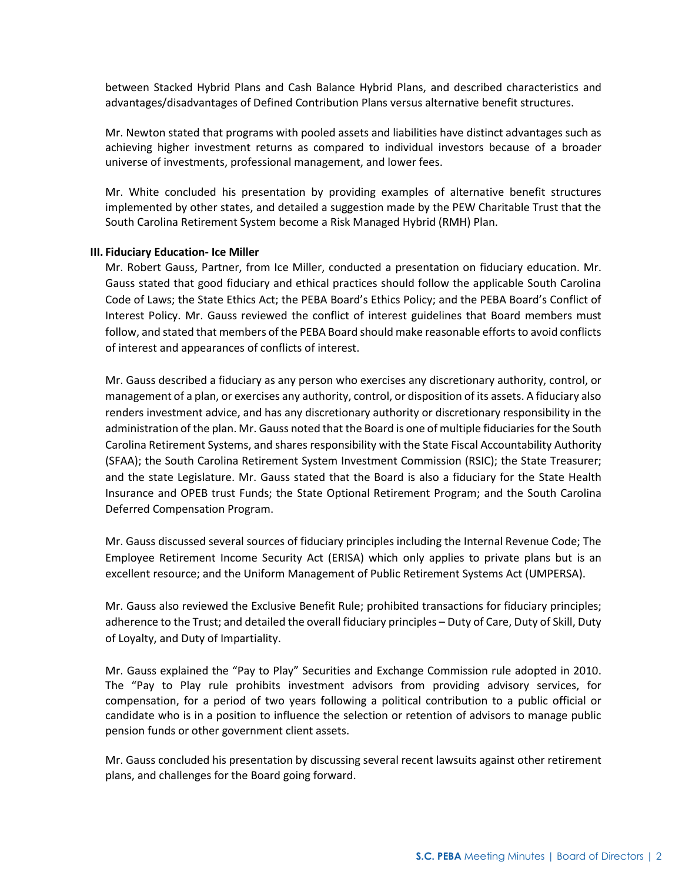between Stacked Hybrid Plans and Cash Balance Hybrid Plans, and described characteristics and advantages/disadvantages of Defined Contribution Plans versus alternative benefit structures.

Mr. Newton stated that programs with pooled assets and liabilities have distinct advantages such as achieving higher investment returns as compared to individual investors because of a broader universe of investments, professional management, and lower fees.

Mr. White concluded his presentation by providing examples of alternative benefit structures implemented by other states, and detailed a suggestion made by the PEW Charitable Trust that the South Carolina Retirement System become a Risk Managed Hybrid (RMH) Plan.

#### **III. Fiduciary Education- Ice Miller**

Mr. Robert Gauss, Partner, from Ice Miller, conducted a presentation on fiduciary education. Mr. Gauss stated that good fiduciary and ethical practices should follow the applicable South Carolina Code of Laws; the State Ethics Act; the PEBA Board's Ethics Policy; and the PEBA Board's Conflict of Interest Policy. Mr. Gauss reviewed the conflict of interest guidelines that Board members must follow, and stated that members of the PEBA Board should make reasonable efforts to avoid conflicts of interest and appearances of conflicts of interest.

Mr. Gauss described a fiduciary as any person who exercises any discretionary authority, control, or management of a plan, or exercises any authority, control, or disposition of its assets. A fiduciary also renders investment advice, and has any discretionary authority or discretionary responsibility in the administration of the plan. Mr. Gauss noted that the Board is one of multiple fiduciaries for the South Carolina Retirement Systems, and shares responsibility with the State Fiscal Accountability Authority (SFAA); the South Carolina Retirement System Investment Commission (RSIC); the State Treasurer; and the state Legislature. Mr. Gauss stated that the Board is also a fiduciary for the State Health Insurance and OPEB trust Funds; the State Optional Retirement Program; and the South Carolina Deferred Compensation Program.

Mr. Gauss discussed several sources of fiduciary principles including the Internal Revenue Code; The Employee Retirement Income Security Act (ERISA) which only applies to private plans but is an excellent resource; and the Uniform Management of Public Retirement Systems Act (UMPERSA).

Mr. Gauss also reviewed the Exclusive Benefit Rule; prohibited transactions for fiduciary principles; adherence to the Trust; and detailed the overall fiduciary principles – Duty of Care, Duty of Skill, Duty of Loyalty, and Duty of Impartiality.

Mr. Gauss explained the "Pay to Play" Securities and Exchange Commission rule adopted in 2010. The "Pay to Play rule prohibits investment advisors from providing advisory services, for compensation, for a period of two years following a political contribution to a public official or candidate who is in a position to influence the selection or retention of advisors to manage public pension funds or other government client assets.

Mr. Gauss concluded his presentation by discussing several recent lawsuits against other retirement plans, and challenges for the Board going forward.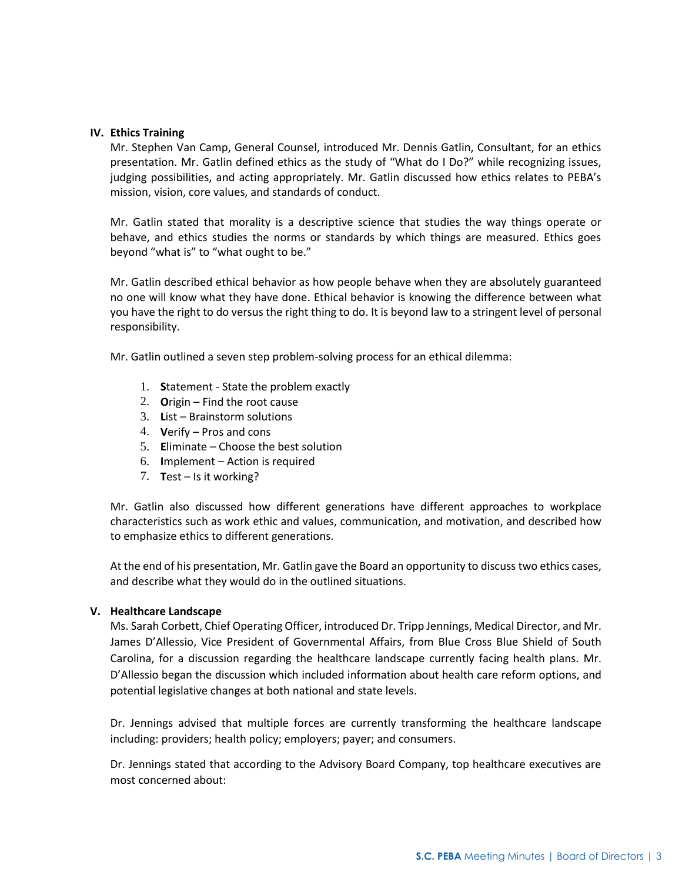## **IV. Ethics Training**

Mr. Stephen Van Camp, General Counsel, introduced Mr. Dennis Gatlin, Consultant, for an ethics presentation. Mr. Gatlin defined ethics as the study of "What do I Do?" while recognizing issues, judging possibilities, and acting appropriately. Mr. Gatlin discussed how ethics relates to PEBA's mission, vision, core values, and standards of conduct.

Mr. Gatlin stated that morality is a descriptive science that studies the way things operate or behave, and ethics studies the norms or standards by which things are measured. Ethics goes beyond "what is" to "what ought to be."

Mr. Gatlin described ethical behavior as how people behave when they are absolutely guaranteed no one will know what they have done. Ethical behavior is knowing the difference between what you have the right to do versus the right thing to do. It is beyond law to a stringent level of personal responsibility.

Mr. Gatlin outlined a seven step problem-solving process for an ethical dilemma:

- 1. **S**tatement State the problem exactly
- 2. **O**rigin Find the root cause
- 3. **L**ist Brainstorm solutions
- 4. **V**erify Pros and cons
- 5. **E**liminate Choose the best solution
- 6. **I**mplement Action is required
- 7. **T**est Is it working?

Mr. Gatlin also discussed how different generations have different approaches to workplace characteristics such as work ethic and values, communication, and motivation, and described how to emphasize ethics to different generations.

At the end of his presentation, Mr. Gatlin gave the Board an opportunity to discuss two ethics cases, and describe what they would do in the outlined situations.

## **V. Healthcare Landscape**

Ms. Sarah Corbett, Chief Operating Officer, introduced Dr. Tripp Jennings, Medical Director, and Mr. James D'Allessio, Vice President of Governmental Affairs, from Blue Cross Blue Shield of South Carolina, for a discussion regarding the healthcare landscape currently facing health plans. Mr. D'Allessio began the discussion which included information about health care reform options, and potential legislative changes at both national and state levels.

Dr. Jennings advised that multiple forces are currently transforming the healthcare landscape including: providers; health policy; employers; payer; and consumers.

Dr. Jennings stated that according to the Advisory Board Company, top healthcare executives are most concerned about: